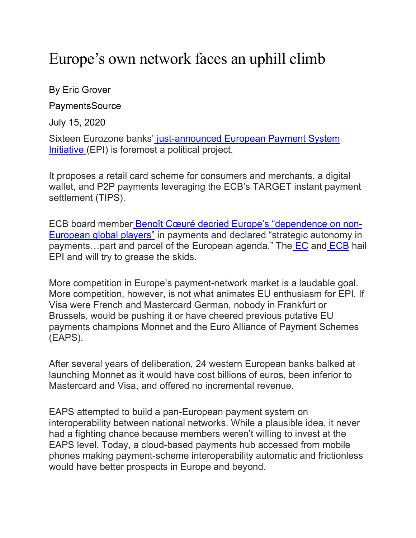## Europe's own network faces an uphill climb

By Eric Grover

PaymentsSource

July 15, 2020

Sixteen Eurozone banks' just-announced European Payment System Initiative (EPI) is foremost a political project.

It proposes a retail card scheme for consumers and merchants, a digital wallet, and P2P payments leveraging the ECB's TARGET instant payment settlement (TIPS).

ECB board member Benoît Cœuré decried Europe's "dependence on non-European global players" in payments and declared "strategic autonomy in payments…part and parcel of the European agenda." The EC and ECB hail EPI and will try to grease the skids.

More competition in Europe's payment-network market is a laudable goal. More competition, however, is not what animates EU enthusiasm for EPI. If Visa were French and Mastercard German, nobody in Frankfurt or Brussels, would be pushing it or have cheered previous putative EU payments champions Monnet and the Euro Alliance of Payment Schemes (EAPS).

After several years of deliberation, 24 western European banks balked at launching Monnet as it would have cost billions of euros, been inferior to Mastercard and Visa, and offered no incremental revenue.

EAPS attempted to build a pan-European payment system on interoperability between national networks. While a plausible idea, it never had a fighting chance because members weren't willing to invest at the EAPS level. Today, a cloud-based payments hub accessed from mobile phones making payment-scheme interoperability automatic and frictionless would have better prospects in Europe and beyond.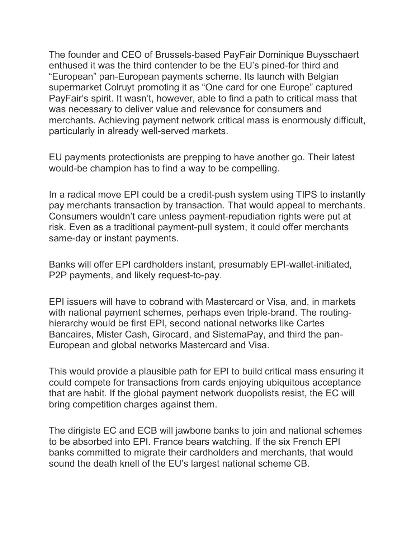The founder and CEO of Brussels-based PayFair Dominique Buysschaert enthused it was the third contender to be the EU's pined-for third and "European" pan-European payments scheme. Its launch with Belgian supermarket Colruyt promoting it as "One card for one Europe" captured PayFair's spirit. It wasn't, however, able to find a path to critical mass that was necessary to deliver value and relevance for consumers and merchants. Achieving payment network critical mass is enormously difficult, particularly in already well-served markets.

EU payments protectionists are prepping to have another go. Their latest would-be champion has to find a way to be compelling.

In a radical move EPI could be a credit-push system using TIPS to instantly pay merchants transaction by transaction. That would appeal to merchants. Consumers wouldn't care unless payment-repudiation rights were put at risk. Even as a traditional payment-pull system, it could offer merchants same-day or instant payments.

Banks will offer EPI cardholders instant, presumably EPI-wallet-initiated, P2P payments, and likely request-to-pay.

EPI issuers will have to cobrand with Mastercard or Visa, and, in markets with national payment schemes, perhaps even triple-brand. The routinghierarchy would be first EPI, second national networks like Cartes Bancaires, Mister Cash, Girocard, and SistemaPay, and third the pan-European and global networks Mastercard and Visa.

This would provide a plausible path for EPI to build critical mass ensuring it could compete for transactions from cards enjoying ubiquitous acceptance that are habit. If the global payment network duopolists resist, the EC will bring competition charges against them.

The dirigiste EC and ECB will jawbone banks to join and national schemes to be absorbed into EPI. France bears watching. If the six French EPI banks committed to migrate their cardholders and merchants, that would sound the death knell of the EU's largest national scheme CB.